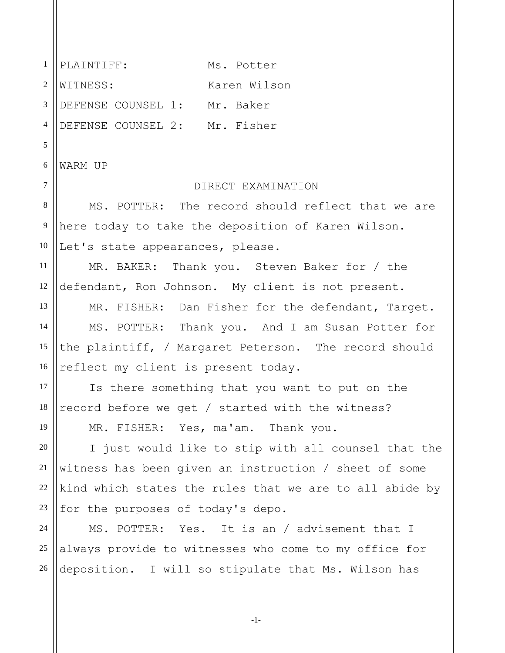1 2 3 4 5 6 7 8 9 10 11 12 13 14 15 16 17 18 19 20 21 22 23 24 25 26 PLAINTIFF: Ms. Potter WITNESS: Karen Wilson DEFENSE COUNSEL 1: Mr. Baker DEFENSE COUNSEL 2: Mr. Fisher WARM UP DIRECT EXAMINATION MS. POTTER: The record should reflect that we are here today to take the deposition of Karen Wilson. Let's state appearances, please. MR. BAKER: Thank you. Steven Baker for / the defendant, Ron Johnson. My client is not present. MR. FISHER: Dan Fisher for the defendant, Target. MS. POTTER: Thank you. And I am Susan Potter for the plaintiff, / Margaret Peterson. The record should reflect my client is present today. Is there something that you want to put on the record before we get / started with the witness? MR. FISHER: Yes, ma'am. Thank you. I just would like to stip with all counsel that the witness has been given an instruction / sheet of some kind which states the rules that we are to all abide by for the purposes of today's depo. MS. POTTER: Yes. It is an / advisement that I always provide to witnesses who come to my office for deposition. I will so stipulate that Ms. Wilson has

-1-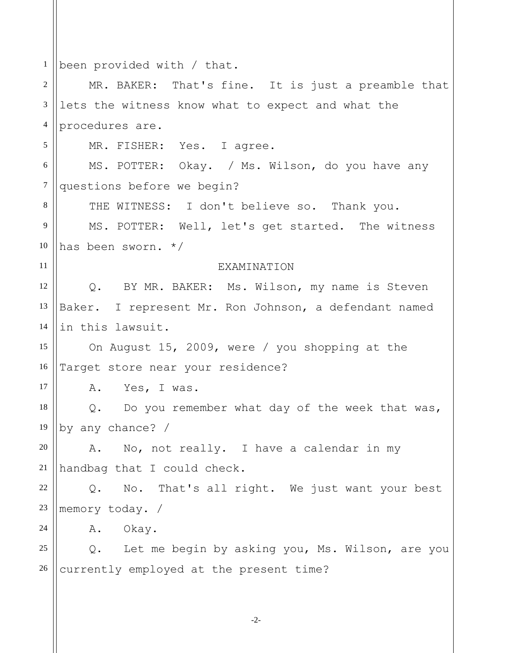1 2 3 4 5 6 7 8 9 10 11 12 13 14 15 16 17 18 19 20 21 22 23 24 25 26 been provided with / that. MR. BAKER: That's fine. It is just a preamble that lets the witness know what to expect and what the procedures are. MR. FISHER: Yes. I agree. MS. POTTER: Okay. / Ms. Wilson, do you have any questions before we begin? THE WITNESS: I don't believe so. Thank you. MS. POTTER: Well, let's get started. The witness has been sworn. \*/ EXAMINATION Q. BY MR. BAKER: Ms. Wilson, my name is Steven Baker. I represent Mr. Ron Johnson, a defendant named in this lawsuit. On August 15, 2009, were / you shopping at the Target store near your residence? A. Yes, I was. Q. Do you remember what day of the week that was, by any chance? / A. No, not really. I have a calendar in my handbag that I could check. Q. No. That's all right. We just want your best memory today. / A. Okay. Q. Let me begin by asking you, Ms. Wilson, are you currently employed at the present time?

-2-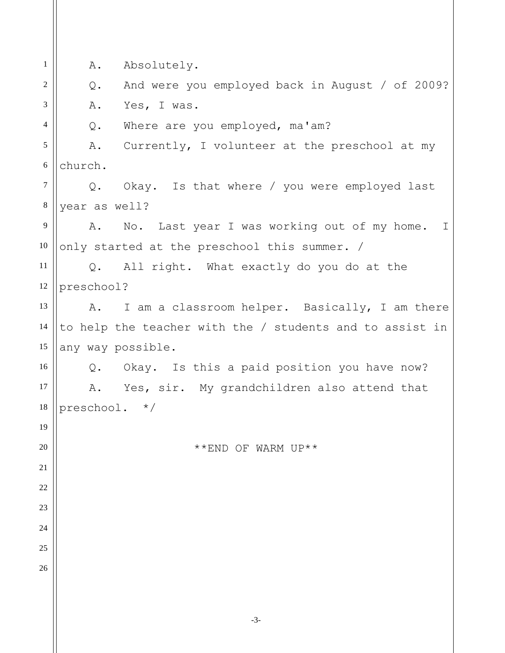1 2 3 4 5 6 7 8 9 10 11 12 13 14 15 16 17 18 19 20 21 22 23 24 25 26 A. Absolutely. Q. And were you employed back in August / of 2009? A. Yes, I was. Q. Where are you employed, ma'am? A. Currently, I volunteer at the preschool at my church. Q. Okay. Is that where / you were employed last year as well? A. No. Last year I was working out of my home. I only started at the preschool this summer. / Q. All right. What exactly do you do at the preschool? A. I am a classroom helper. Basically, I am there to help the teacher with the / students and to assist in any way possible. Q. Okay. Is this a paid position you have now? A. Yes, sir. My grandchildren also attend that preschool. \*/ \*\*END OF WARM UP\*\*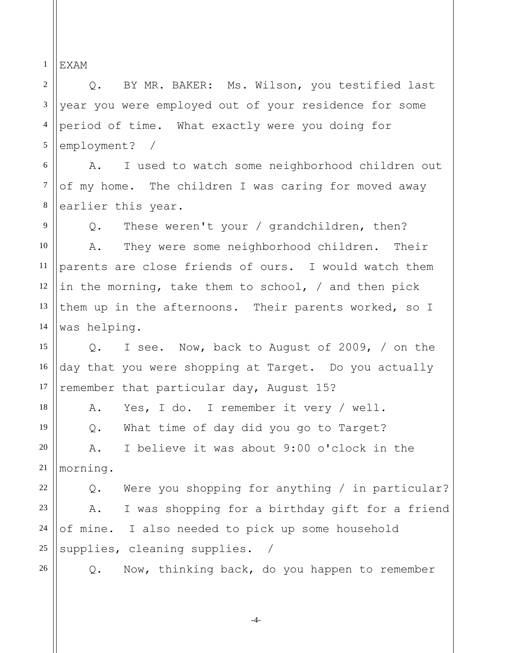1 EXAM

2 3 4 5 Q. BY MR. BAKER: Ms. Wilson, you testified last year you were employed out of your residence for some period of time. What exactly were you doing for employment? /

6 7 8 A. I used to watch some neighborhood children out of my home. The children I was caring for moved away earlier this year.

9 10 11 12 13 14 Q. These weren't your / grandchildren, then? A. They were some neighborhood children. Their parents are close friends of ours. I would watch them in the morning, take them to school, / and then pick them up in the afternoons. Their parents worked, so I was helping.

15 16 17 Q. I see. Now, back to August of 2009, / on the day that you were shopping at Target. Do you actually remember that particular day, August 15?

18 19 20 21 A. Yes, I do. I remember it very / well. Q. What time of day did you go to Target? A. I believe it was about 9:00 o'clock in the morning.

22 23 24 25 Q. Were you shopping for anything / in particular? A. I was shopping for a birthday gift for a friend of mine. I also needed to pick up some household supplies, cleaning supplies. /

26

Q. Now, thinking back, do you happen to remember

-4-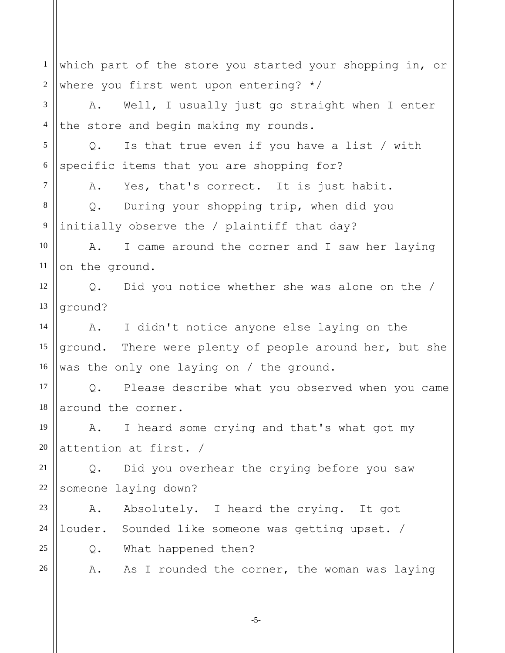1 2 3 4 5 6 7 8 9 10 11 12 13 14 15 16 17 18 19 20 21 22 23 24 25 26 which part of the store you started your shopping in, or where you first went upon entering? \*/ A. Well, I usually just go straight when I enter the store and begin making my rounds. Q. Is that true even if you have a list / with specific items that you are shopping for? A. Yes, that's correct. It is just habit. Q. During your shopping trip, when did you initially observe the / plaintiff that day? A. I came around the corner and I saw her laying on the ground. Q. Did you notice whether she was alone on the / ground? A. I didn't notice anyone else laying on the ground. There were plenty of people around her, but she was the only one laying on / the ground. Q. Please describe what you observed when you came around the corner. A. I heard some crying and that's what got my attention at first. / Q. Did you overhear the crying before you saw someone laying down? A. Absolutely. I heard the crying. It got louder. Sounded like someone was getting upset. / Q. What happened then? A. As I rounded the corner, the woman was laying

-5-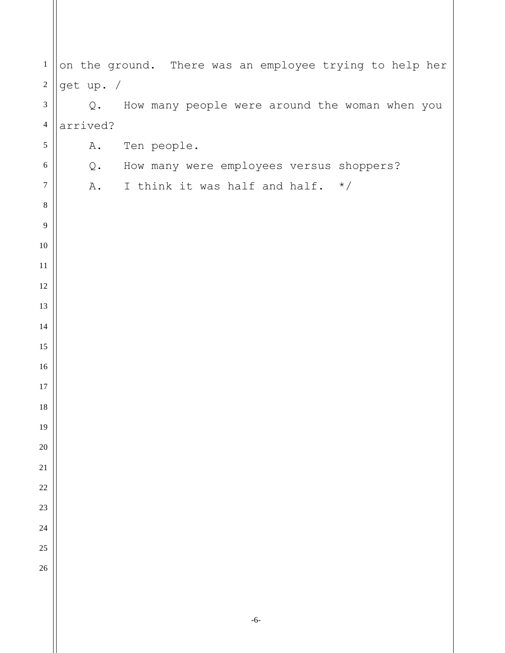| $\mathbf{1}$     | on the ground. There was an employee trying to help her |                                                |
|------------------|---------------------------------------------------------|------------------------------------------------|
| $\boldsymbol{2}$ | get up. /                                               |                                                |
| $\mathfrak{Z}$   | Q.                                                      | How many people were around the woman when you |
| $\overline{4}$   | arrived?                                                |                                                |
| $\sqrt{5}$       |                                                         | A. Ten people.                                 |
| 6                |                                                         | Q. How many were employees versus shoppers?    |
| $\boldsymbol{7}$ | A.                                                      | I think it was half and half. $*/$             |
| $\,8\,$          |                                                         |                                                |
| 9                |                                                         |                                                |
| 10               |                                                         |                                                |
| 11               |                                                         |                                                |
| 12               |                                                         |                                                |
| 13               |                                                         |                                                |
| 14               |                                                         |                                                |
| 15               |                                                         |                                                |
| 16               |                                                         |                                                |
| 17               |                                                         |                                                |
| 18               |                                                         |                                                |
| 19               |                                                         |                                                |
| 20               |                                                         |                                                |
| 21               |                                                         |                                                |
| 22               |                                                         |                                                |
| 23               |                                                         |                                                |
| 24               |                                                         |                                                |
| 25               |                                                         |                                                |
| 26               |                                                         |                                                |
|                  |                                                         |                                                |
|                  |                                                         |                                                |

-6-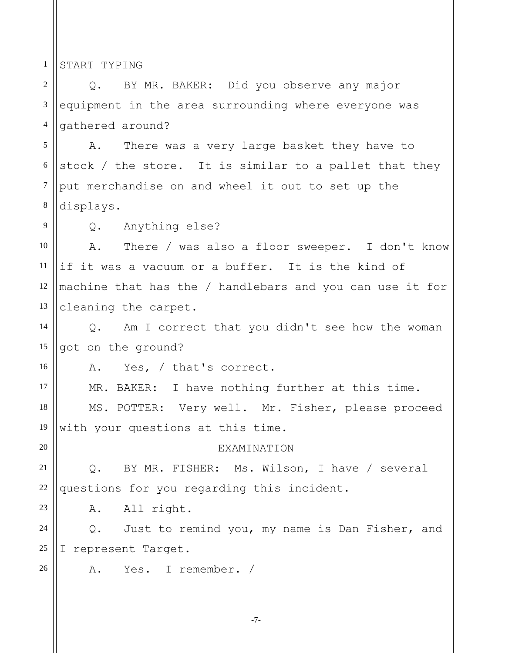1 START TYPING

9

16

20

23

26

2 3 4 Q. BY MR. BAKER: Did you observe any major equipment in the area surrounding where everyone was gathered around?

5 6 7 8 A. There was a very large basket they have to stock / the store. It is similar to a pallet that they put merchandise on and wheel it out to set up the displays.

Q. Anything else?

10 11 12 13 A. There / was also a floor sweeper. I don't know if it was a vacuum or a buffer. It is the kind of machine that has the / handlebars and you can use it for cleaning the carpet.

14 15 Q. Am I correct that you didn't see how the woman got on the ground?

A. Yes, / that's correct.

17 18 19 MR. BAKER: I have nothing further at this time. MS. POTTER: Very well. Mr. Fisher, please proceed with your questions at this time.

**EXAMINATION** 

21 22 Q. BY MR. FISHER: Ms. Wilson, I have / several questions for you regarding this incident.

A. All right.

24 25 Q. Just to remind you, my name is Dan Fisher, and I represent Target.

A. Yes. I remember. /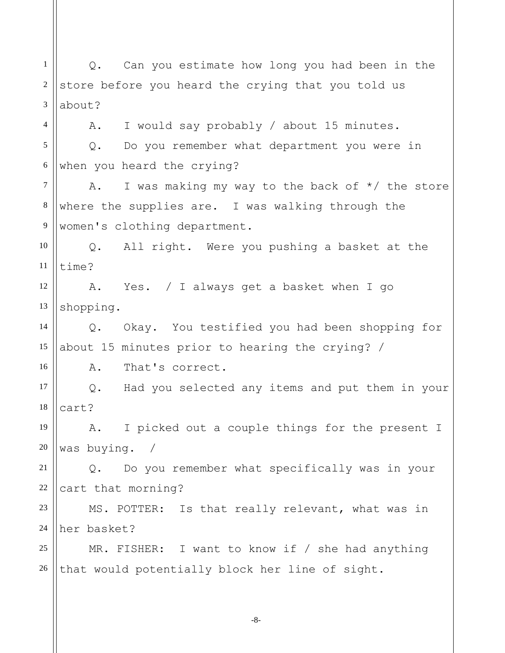1 2 3 4 5 6 7 8 9 10 11 12 13 14 15 16 17 18 19 20 21 22 23 24 25 26 Q. Can you estimate how long you had been in the store before you heard the crying that you told us about? A. I would say probably / about 15 minutes. Q. Do you remember what department you were in when you heard the crying? A. I was making my way to the back of  $*/$  the store where the supplies are. I was walking through the women's clothing department. Q. All right. Were you pushing a basket at the time? A. Yes. / I always get a basket when I go shopping. Q. Okay. You testified you had been shopping for about 15 minutes prior to hearing the crying? / A. That's correct. Q. Had you selected any items and put them in your cart? A. I picked out a couple things for the present I was buying. / Q. Do you remember what specifically was in your cart that morning? MS. POTTER: Is that really relevant, what was in her basket? MR. FISHER: I want to know if / she had anything that would potentially block her line of sight.

-8-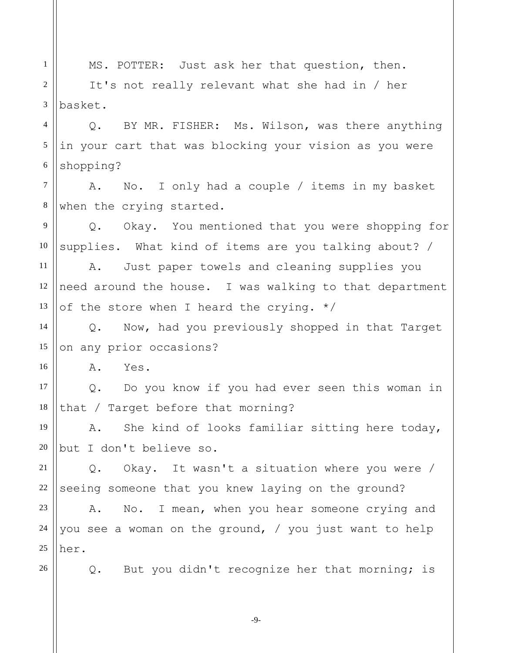1 2 3 4 5 6 7 8 9 10 11 12 13 14 15 16 17 18 19 20 21 22 23 24 25 26 MS. POTTER: Just ask her that question, then. It's not really relevant what she had in / her basket. Q. BY MR. FISHER: Ms. Wilson, was there anything in your cart that was blocking your vision as you were shopping? A. No. I only had a couple / items in my basket when the crying started. Q. Okay. You mentioned that you were shopping for supplies. What kind of items are you talking about? / A. Just paper towels and cleaning supplies you need around the house. I was walking to that department of the store when I heard the crying.  $*/$ Q. Now, had you previously shopped in that Target on any prior occasions? A. Yes. Q. Do you know if you had ever seen this woman in that / Target before that morning? A. She kind of looks familiar sitting here today, but I don't believe so. Q. Okay. It wasn't a situation where you were / seeing someone that you knew laying on the ground? A. No. I mean, when you hear someone crying and you see a woman on the ground, / you just want to help her. Q. But you didn't recognize her that morning; is

-9-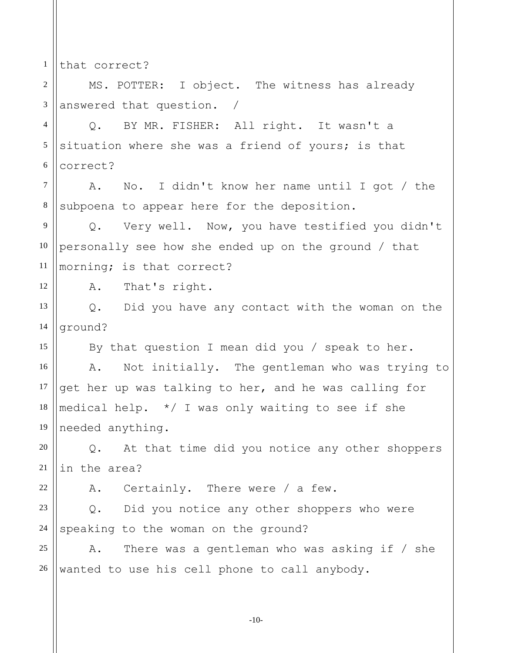1 that correct?

12

15

22

2 3 MS. POTTER: I object. The witness has already answered that question. /

4 5 6 Q. BY MR. FISHER: All right. It wasn't a situation where she was a friend of yours; is that correct?

7 8 A. No. I didn't know her name until I got / the subpoena to appear here for the deposition.

9 10 11 Q. Very well. Now, you have testified you didn't personally see how she ended up on the ground / that morning; is that correct?

A. That's right.

13 14 Q. Did you have any contact with the woman on the ground?

By that question I mean did you / speak to her.

16 17 18 19 A. Not initially. The gentleman who was trying to get her up was talking to her, and he was calling for medical help. \*/ I was only waiting to see if she needed anything.

20 21 Q. At that time did you notice any other shoppers in the area?

A. Certainly. There were / a few.

23 24 Q. Did you notice any other shoppers who were speaking to the woman on the ground?

25 26 A. There was a gentleman who was asking if / she wanted to use his cell phone to call anybody.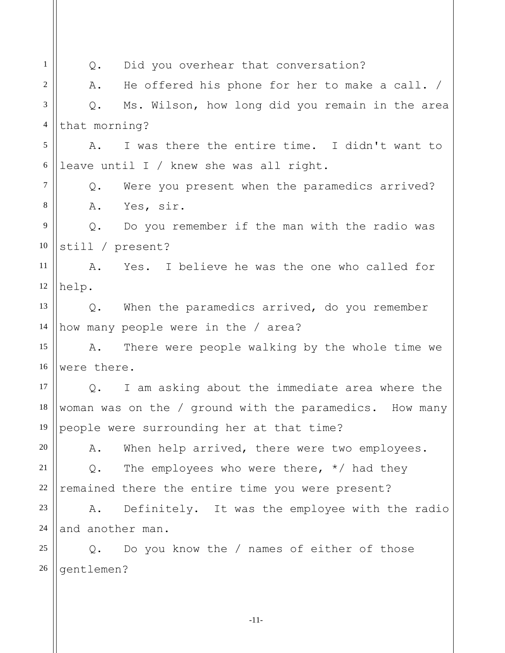1 2 3 4 5 6 7 8 9 10 11 12 13 14 15 16 17 18 19 20 21 22 23 24 25 26 Q. Did you overhear that conversation? A. He offered his phone for her to make a call. / Q. Ms. Wilson, how long did you remain in the area that morning? A. I was there the entire time. I didn't want to leave until I / knew she was all right. Q. Were you present when the paramedics arrived? A. Yes, sir. Q. Do you remember if the man with the radio was still / present? A. Yes. I believe he was the one who called for help. Q. When the paramedics arrived, do you remember how many people were in the / area? A. There were people walking by the whole time we were there. Q. I am asking about the immediate area where the woman was on the / ground with the paramedics. How many people were surrounding her at that time? A. When help arrived, there were two employees. Q. The employees who were there,  $*/$  had they remained there the entire time you were present? A. Definitely. It was the employee with the radio and another man. Q. Do you know the / names of either of those gentlemen?

-11-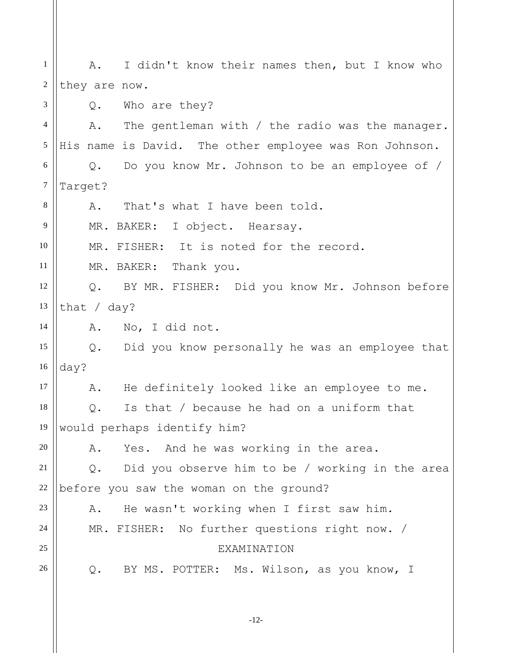1 2 3 4 5 6 7 8 9 10 11 12 13 14 15 16 17 18 19 20 21 22 23 24 25 26 A. I didn't know their names then, but I know who they are now. Q. Who are they? A. The gentleman with / the radio was the manager. His name is David. The other employee was Ron Johnson. Q. Do you know Mr. Johnson to be an employee of / Target? A. That's what I have been told. MR. BAKER: I object. Hearsay. MR. FISHER: It is noted for the record. MR. BAKER: Thank you. Q. BY MR. FISHER: Did you know Mr. Johnson before that / day? A. No, I did not. Q. Did you know personally he was an employee that day? A. He definitely looked like an employee to me. Q. Is that / because he had on a uniform that would perhaps identify him? A. Yes. And he was working in the area. Q. Did you observe him to be / working in the area before you saw the woman on the ground? A. He wasn't working when I first saw him. MR. FISHER: No further questions right now. / **EXAMINATION** Q. BY MS. POTTER: Ms. Wilson, as you know, I

-12-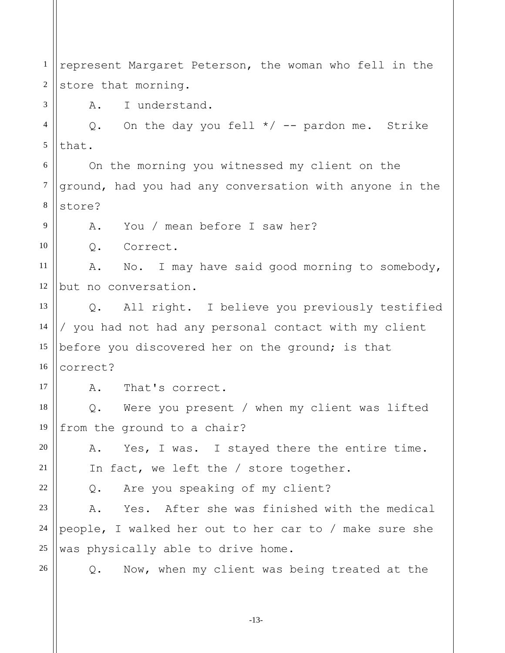1 2 3 4 5 6 7 8 9 10 11 12 13 14 15 16 17 18 19 20 21 22 23 24 25 26 represent Margaret Peterson, the woman who fell in the store that morning. A. I understand. Q. On the day you fell  $*/$  -- pardon me. Strike that. On the morning you witnessed my client on the ground, had you had any conversation with anyone in the store? A. You / mean before I saw her? Q. Correct. A. No. I may have said good morning to somebody, but no conversation. Q. All right. I believe you previously testified / you had not had any personal contact with my client before you discovered her on the ground; is that correct? A. That's correct. Q. Were you present / when my client was lifted from the ground to a chair? A. Yes, I was. I stayed there the entire time. In fact, we left the / store together. Q. Are you speaking of my client? A. Yes. After she was finished with the medical people, I walked her out to her car to / make sure she was physically able to drive home. Q. Now, when my client was being treated at the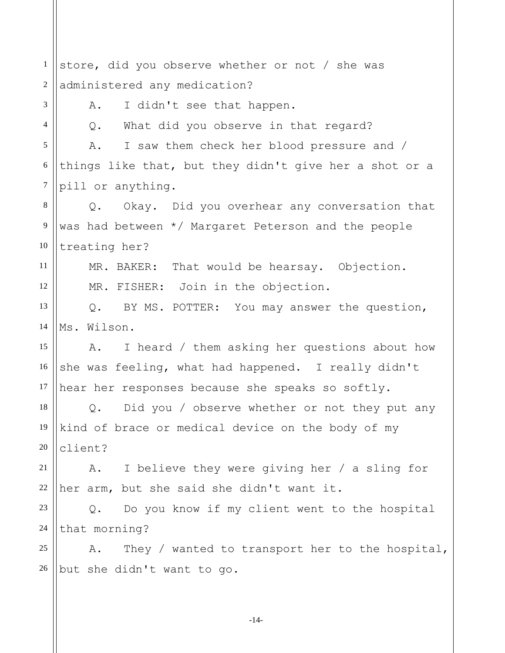1 2 3 4 5 6 7 8 9 10 11 12 13 14 15 16 17 18 19 20 21 22 23 24 25 26 store, did you observe whether or not / she was administered any medication? A. I didn't see that happen. Q. What did you observe in that regard? A. I saw them check her blood pressure and / things like that, but they didn't give her a shot or a pill or anything. Q. Okay. Did you overhear any conversation that was had between \*/ Margaret Peterson and the people treating her? MR. BAKER: That would be hearsay. Objection. MR. FISHER: Join in the objection. Q. BY MS. POTTER: You may answer the question, Ms. Wilson. A. I heard / them asking her questions about how she was feeling, what had happened. I really didn't hear her responses because she speaks so softly. Q. Did you / observe whether or not they put any kind of brace or medical device on the body of my client? A. I believe they were giving her / a sling for her arm, but she said she didn't want it. Q. Do you know if my client went to the hospital that morning? A. They / wanted to transport her to the hospital, but she didn't want to go.

-14-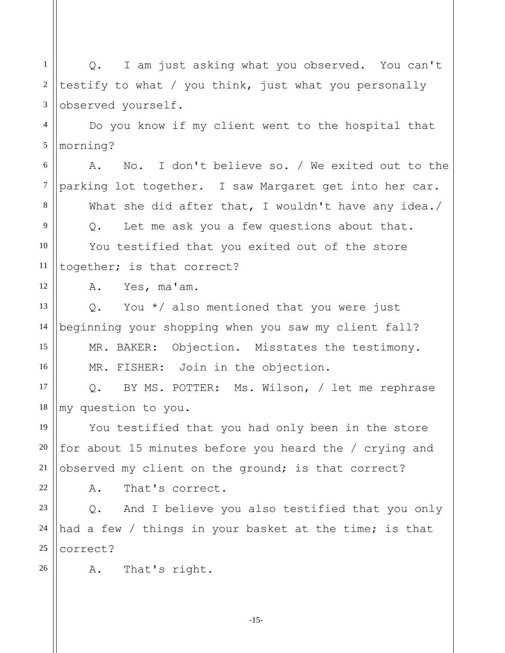1 2 3 Q. I am just asking what you observed. You can't testify to what / you think, just what you personally observed yourself.

4 5 Do you know if my client went to the hospital that morning?

6 7 8 9 10 11 A. No. I don't believe so. / We exited out to the parking lot together. I saw Margaret get into her car. What she did after that, I wouldn't have any idea./ Q. Let me ask you a few questions about that. You testified that you exited out of the store together; is that correct?

A. Yes, ma'am.

12

15

16

21

22

26

13 14 Q. You \*/ also mentioned that you were just beginning your shopping when you saw my client fall?

MR. BAKER: Objection. Misstates the testimony. MR. FISHER: Join in the objection.

17 18 Q. BY MS. POTTER: Ms. Wilson, / let me rephrase my question to you.

19 20 You testified that you had only been in the store for about 15 minutes before you heard the / crying and observed my client on the ground; is that correct?

A. That's correct.

23 24 25 Q. And I believe you also testified that you only had a few / things in your basket at the time; is that correct?

A. That's right.

-15-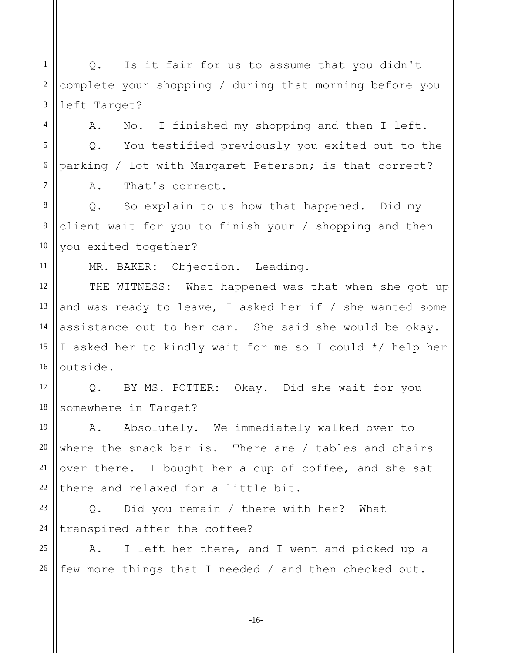1 2 3 4 5 6 7 8 9 10 11 12 13 14 15 16 17 18 19 20 21 22 23 24 25 26 Q. Is it fair for us to assume that you didn't complete your shopping / during that morning before you left Target? A. No. I finished my shopping and then I left. Q. You testified previously you exited out to the parking / lot with Margaret Peterson; is that correct? A. That's correct. Q. So explain to us how that happened. Did my client wait for you to finish your / shopping and then you exited together? MR. BAKER: Objection. Leading. THE WITNESS: What happened was that when she got up and was ready to leave, I asked her if / she wanted some assistance out to her car. She said she would be okay. I asked her to kindly wait for me so I could \*/ help her outside. Q. BY MS. POTTER: Okay. Did she wait for you somewhere in Target? A. Absolutely. We immediately walked over to where the snack bar is. There are / tables and chairs over there. I bought her a cup of coffee, and she sat there and relaxed for a little bit. Q. Did you remain / there with her? What transpired after the coffee? A. I left her there, and I went and picked up a few more things that I needed / and then checked out.

-16-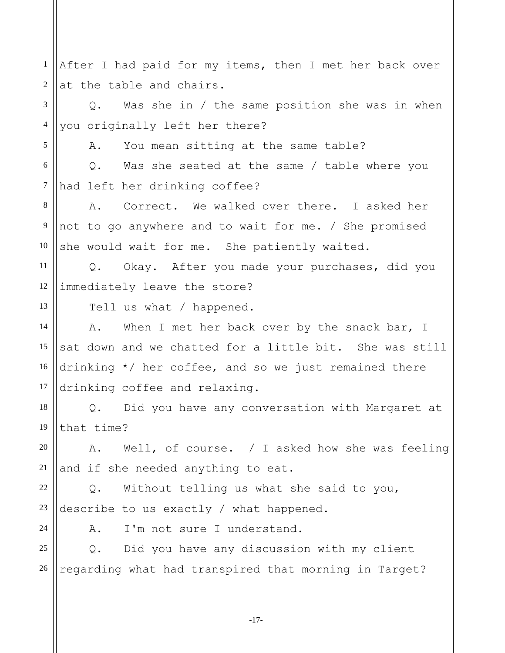1 2 After I had paid for my items, then I met her back over at the table and chairs.

3 4 Q. Was she in / the same position she was in when you originally left her there?

A. You mean sitting at the same table?

6 7 Q. Was she seated at the same / table where you had left her drinking coffee?

8 9 10 A. Correct. We walked over there. I asked her not to go anywhere and to wait for me. / She promised she would wait for me. She patiently waited.

11 12 Q. Okay. After you made your purchases, did you immediately leave the store?

Tell us what / happened.

14 15 16 17 A. When I met her back over by the snack bar, I sat down and we chatted for a little bit. She was still drinking \*/ her coffee, and so we just remained there drinking coffee and relaxing.

18 19 Q. Did you have any conversation with Margaret at that time?

20 21 A. Well, of course. / I asked how she was feeling and if she needed anything to eat.

22 23 Q. Without telling us what she said to you, describe to us exactly / what happened.

24

5

13

A. I'm not sure I understand.

25 26 Q. Did you have any discussion with my client regarding what had transpired that morning in Target?

-17-